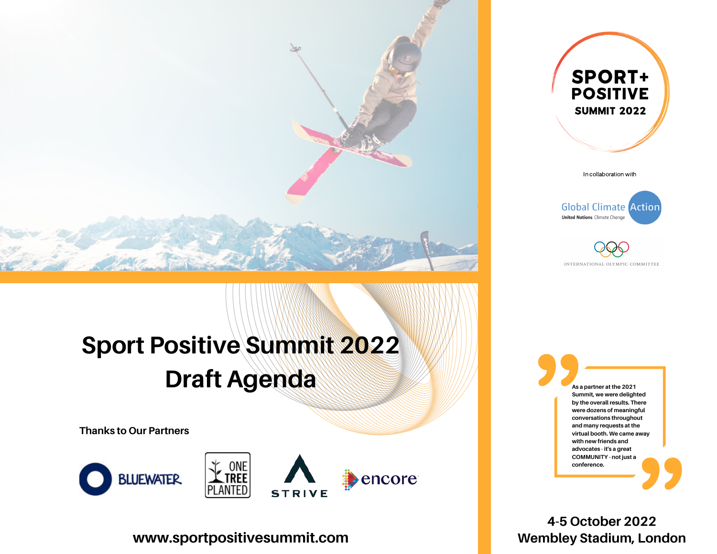

# **Sport Positive Summit 2022 Draft Agenda And <b>Ass**  $P$  **As a partner at the 2021**

**Thanks to Our Partners**





encore **STRIVE** 

**www.sportpositivesummit.com**



In collaboration with





**Summit, we were delighted by the overall results. There were dozens of meaningful conversations throughout and many requests at the virtual booth. We came away with new friends and advocates - it's a great COMMUNITY - not just a conference.**

**4-5 October 2022 Wembley Stadium, London**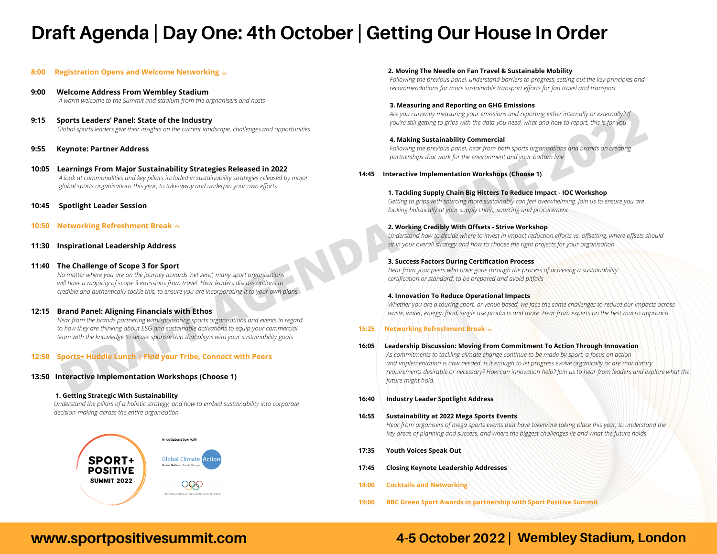## **Draft Agenda | Day One: 4th October | Getting Our House In Order**

#### **8:00 Registration Opens and Welcome Networking** ☕️

- **9:00 Welcome Address From Wembley Stadium** *A warm welcome to the Summit and stadium from the orgnanisers and hosts*
- **9:15 Sports Leaders' Panel: State of the Industry** *Global sports leaders give their insights on the current landscape, challenges and opportunities*
- **9:55 Keynote: Partner Address**
- **10:05 Learnings From Major Sustainability Strategies Released in 2022**  *A look at commonalities and key pillars included in sustainability strategies released by major global sports organisations this year, to take-away and underpin your own efforts*
- **10:45 Spotlight Leader Session**
- **10:50 Networking Refreshment Break** ☕️
- **11:30 Inspirational Leadership Address**

#### **11:40 The Challenge of Scope 3 for Sport**

 *No matter where you are on the journey towards 'net zero', many sport organisations will have a majority of scope 3 emissions from travel. Hear leaders discuss options to credible and authentically tackle this, to ensure you are incorporating it to your own plans*

#### **12:15 Brand Panel: Aligning Financials with Ethos**

*Hear from the brands partnering with/sponsoring sports organisations and events in regard to how they are thinking about ESG and sustainable activations to equip your commercial team with the knowledge to secure sponsorship that aligns with your sustainability goals*

#### **12:50 Sports+ Huddle Lunch | Find your Tribe, Connect with Peers**

#### **13:50 Interactive Implementation Workshops (Choose 1)**

#### **1. Getting Strategic With Sustainability**

 *Understand the pillars of a holistic strategy, and how to embed sustainability into corporate decision-making across the entire organisation*



#### **2. Moving The Needle on Fan Travel & Sustainable Mobility**

*Following the previous panel, understand barriers to progress, setting out the key principles and recommendations for more sustainable transport efforts for fan travel and transport*

#### **3. Measuring and Reporting on GHG Emissions**

 *Are you currently measuring your emissions and reporting either internally or externally? If you're still getting to grips with the data you need, what and how to report, this is for you*

#### **4. Making Sustainability Commercial**

 *Following the previous panel, hear from both sports organisations and brands on creating partnerships that work for the environment and your bottom line* 

**14:45 Interactive Implementation Workshops (Choose 1)**

#### **1. Tackling Supply Chain Big Hitters To Reduce Impact - IOC Workshop**

*Getting to grips with sourcing more sustainably can feel overwhelming. Join us to ensure you are looking holistically at your supply chain, sourcing and procurement*

#### **2. Working Credibly With Offsets - Strive Workshop**

*Understand how to decide where to invest in impact reduction efforts vs. offsetting, where offsets should sit in your overall strategy and how to choose the right projects for your organisation*

#### **3. Success Factors During Certification Process**

*Hear from your peers who have gone through the process of achieving a sustainability certification or standard; to be prepared and avoid pitfalls*

#### **4. Innovation To Reduce Operational Impacts**

Whether you are a touring sport, or venue based, we face the same challenges to reduce our impacts across *waste, water, energy, food, single use products and more. Hear from experts on the best macro approach*

#### **15:25 Networking Refreshment Break** ☕️

#### **16:05 Leadership Discussion: Moving From Commitment To Action Through Innovation**

**Forts Leaders' Panel State of the Industry<br>
Note that the state of the Industry and providence of the state of the state of the state of the state of the state of the state of the state of the state of the state of the st** *As commitments to tackling climate change continue to be made by sport, a focus on action and implementation is now needed. Is it enough to let progress evolve organically or are mandatory* requirements desirable or necessary? How can innovation help? Join us to hear from leaders and explore what the *future might hold.*

**16:40 Industry Leader Spotlight Address**

#### **16:55 Sustainability at 2022 Mega Sports Events**

*Hear from organisers of mega sports events that have taken/are taking place this year, to understand the key areas of planning and success, and where the biggest challenges lie and what the future holds*

- **17:35 Youth Voices Speak Out**
- **17:45 Closing Keynote Leadership Addresses**
- **18:00 Cocktails and Networking**
- **19:00 BBC Green Sport Awards in partnership with Sport Positive Summit**

## **www.sportpositivesummit.com 4-5 October 2022 | Wembley Stadium, London**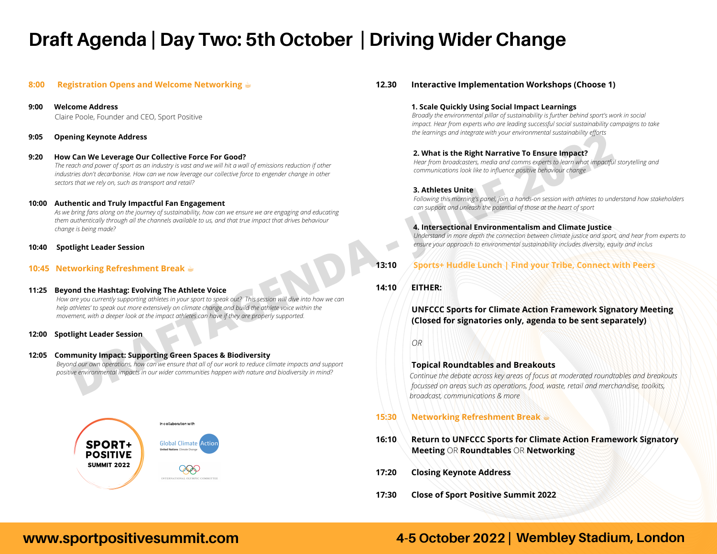## **Draft Agenda | Day Two: 5th October | Driving Wider Change**

#### **8:00 Registration Opens and Welcome Networking** ☕️

**9:00 Welcome Address** Claire Poole, Founder and CEO, Sport Positive

#### **9:05 Opening Keynote Address**

#### **9:20 How Can We Leverage Our Collective Force For Good?**

 *The reach and power of sport as an industry is vast and we will hit a wall of emissions reduction if other industries don't decarbonise. How can we now leverage our collective force to engender change in other sectors that we rely on, such as transport and retail?*

#### **10:00 Authentic and Truly Impactful Fan Engagement**

 *As we bring fans along on the journey of sustainability, how can we ensure we are engaging and educating them authentically through all the channels available to us, and that true impact that drives behaviour change is being made?*

#### **10:40 Spotlight Leader Session**

#### **10:45 Networking Refreshment Break** ☕️

# **11:25 Beyond the Hashtag: Evolving The Athlete Voice**  *How are you currently supporting athletes in your sport to speak out? This session will dive into how we can help athletes' to speak out more extensively on climate change and build the athlete voice within the movement, with a deeper look at the impact athletes can have if they are properly supported.* **DRAFTAGES OF CONCRECT SUBDOM CONSULTERED**<br>
Can We Leverage Out of pure and interest of the set of the set of the set of the set of the set of the set of the set of the set of the set of the set of the set of the set of th

#### **12:00 Spotlight Leader Session**

#### **12:05 Community Impact: Supporting Green Spaces & Biodiversity**

 *Beyond our own operations, how can we ensure that all of our work to reduce climate impacts and support positive environmental impacts in our wider communities happen with nature and biodiversity in mind?*



#### **12.30 Interactive Implementation Workshops (Choose 1)**

#### **1. Scale Quickly Using Social Impact Learnings**

 *Broadly the environmental pillar of sustainability is further behind sport's work in social impact. Hear from experts who are leading successful social sustainability campaigns to take the learnings and integrate with your environmental sustainability efforts*

#### **2. What is the Right Narrative To Ensure Impact?**

*Hear from broadcasters, media and comms experts to learn what impactful storytelling and communications look like to influence positive behaviour change* 

#### **3. Athletes Unite**

*Following this morning's panel, join a hands-on session with athletes to understand how stakeholders can support and unleash the potential of those at the heart of sport* 

#### **4. Intersectional Environmentalism and Climate Justice**

 *Understand in more depth the connection between climate justice and sport, and hear from experts to ensure your approach to environmental sustainability includes diversity, equity and inclus*

#### **13:10 Sports+ Huddle Lunch | Find your Tribe, Connect with Peers**

#### **14:10 EITHER:**

#### **UNFCCC Sports for Climate Action Framework Signatory Meeting (Closed for signatories only, agenda to be sent separately)**

#### *OR*

#### **Topical Roundtables and Breakouts**

*Continue the debate across key areas of focus at moderated roundtables and breakouts focussed on areas such as operations, food, waste, retail and merchandise, toolkits, broadcast, communications & more*

#### **15:30 Networking Refreshment Break** ☕️

- **16:10 Return to UNFCCC Sports for Climate Action Framework Signatory Meeting** OR **Roundtables** OR **Networking**
- **17:20 Closing Keynote Address**
- **17:30 Close of Sport Positive Summit 2022**

### **www.sportpositivesummit.com 4-5 October 2022 | Wembley Stadium, London**